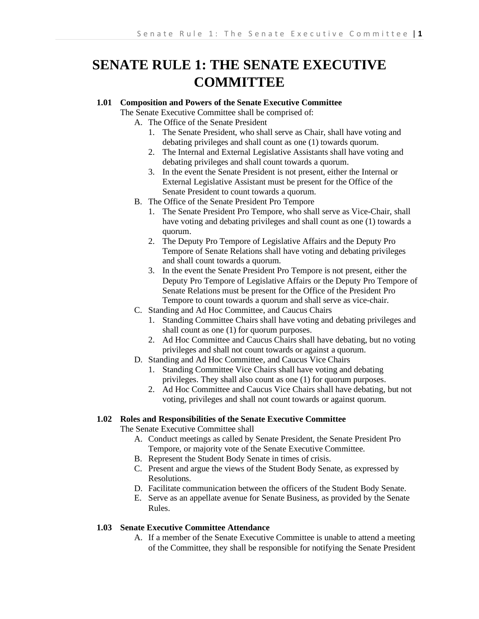# **SENATE RULE 1: THE SENATE EXECUTIVE COMMITTEE**

# **1.01 Composition and Powers of the Senate Executive Committee**

- The Senate Executive Committee shall be comprised of:
	- A. The Office of the Senate President
		- 1. The Senate President, who shall serve as Chair, shall have voting and debating privileges and shall count as one (1) towards quorum.
		- 2. The Internal and External Legislative Assistants shall have voting and debating privileges and shall count towards a quorum.
		- 3. In the event the Senate President is not present, either the Internal or External Legislative Assistant must be present for the Office of the Senate President to count towards a quorum.
	- B. The Office of the Senate President Pro Tempore
		- 1. The Senate President Pro Tempore, who shall serve as Vice-Chair, shall have voting and debating privileges and shall count as one (1) towards a quorum.
		- 2. The Deputy Pro Tempore of Legislative Affairs and the Deputy Pro Tempore of Senate Relations shall have voting and debating privileges and shall count towards a quorum.
		- 3. In the event the Senate President Pro Tempore is not present, either the Deputy Pro Tempore of Legislative Affairs or the Deputy Pro Tempore of Senate Relations must be present for the Office of the President Pro Tempore to count towards a quorum and shall serve as vice-chair.
	- C. Standing and Ad Hoc Committee, and Caucus Chairs
		- 1. Standing Committee Chairs shall have voting and debating privileges and shall count as one (1) for quorum purposes.
		- 2. Ad Hoc Committee and Caucus Chairs shall have debating, but no voting privileges and shall not count towards or against a quorum.
	- D. Standing and Ad Hoc Committee, and Caucus Vice Chairs
		- 1. Standing Committee Vice Chairs shall have voting and debating privileges. They shall also count as one (1) for quorum purposes.
		- 2. Ad Hoc Committee and Caucus Vice Chairs shall have debating, but not voting, privileges and shall not count towards or against quorum.

## **1.02 Roles and Responsibilities of the Senate Executive Committee**

The Senate Executive Committee shall

- A. Conduct meetings as called by Senate President, the Senate President Pro Tempore, or majority vote of the Senate Executive Committee.
- B. Represent the Student Body Senate in times of crisis.
- C. Present and argue the views of the Student Body Senate, as expressed by Resolutions.
- D. Facilitate communication between the officers of the Student Body Senate.
- E. Serve as an appellate avenue for Senate Business, as provided by the Senate Rules.

#### **1.03 Senate Executive Committee Attendance**

A. If a member of the Senate Executive Committee is unable to attend a meeting of the Committee, they shall be responsible for notifying the Senate President